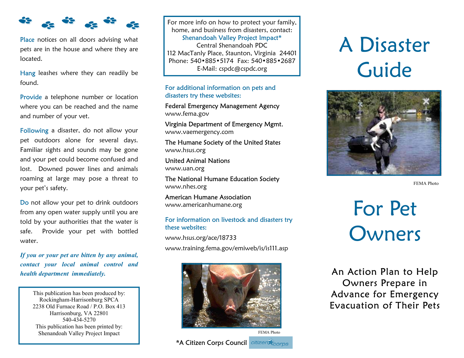

Place notices on all doors advising what pets are in the house and where they are located.

Hang leashes where they can readily be found.

Provide a telephone number or location where you can be reached and the name and number of your vet.

Following a disaster, do not allow your pet outdoors alone for several days. Familiar sights and sounds may be gone and your pet could become confused and lost. Downed power lines and animals roaming at large may pose a threat to your pet's safety.

Do not allow your pet to drink outdoors from any open water supply until you are told by your authorities that the water is safe. Provide your pet with bottled water.

*If you or your pet are bitten by any animal, contact your local animal control and health department immediately.* **An Action Plan to Help** 

This publication has been produced by: Rockingham-Harrisonburg SPCA 2238 Old Furnace Road / P.O. Box 413 Harrisonburg, VA 22801 540-434-5270 This publication has been printed by: Shenandoah Valley Project Impact

For more info on how to protect your family, home, and business from disasters, contact: Shenandoah Valley Project Impact\* Central Shenandoah PDC 112 MacTanly Place, Staunton, Virginia 24401 Phone: 540•885•5174 Fax: 540•885•2687 E-Mail: cspdc@cspdc.org

# For additional information on pets and disasters try these websites:

Federal Emergency Management Agency www.fema.gov

Virginia Department of Emergency Mgmt. www.vaemergency.com

The Humane Society of the United States www.hsus.org

United Animal Nations www.uan.org

The National Humane Education Society www.nhes.org

American Humane Association www.americanhumane.org

# For information on livestock and disasters try these websites:

www.hsus.org/ace/18733

www.training.fema.gov/emiweb/is/is111.asp



# A Disaster Guide



FEMA Photo

For Pet **Owners** 

Owners Prepare in Advance for Emergency Evacuation of Their Pets

**\*A Citizen Corps Council** citizen Corps